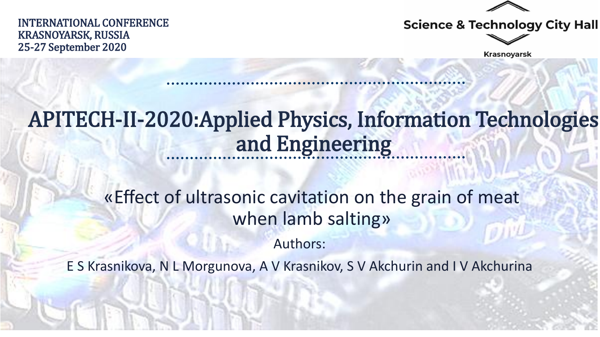

INTERNATIONAL CONFERENCE KRASNOYARSK, RUSSIA 25-27 September 2020



**Krasnoyarsk** 

## APITECH-II-2020:Applied Physics, Information Technologies and Engineering

«Effect of ultrasonic cavitation on the grain of meat when lamb salting»

Authors:

E S Krasnikova, N L Morgunova, A V Krasnikov, S V Akchurin and I V Akchurina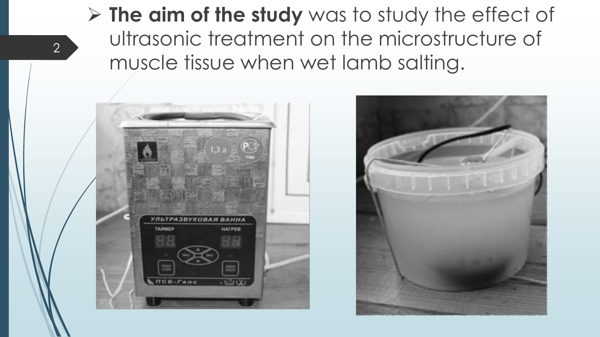## **The aim of the study** was to study the effect of ultrasonic treatment on the microstructure of muscle tissue when wet lamb salting.



2

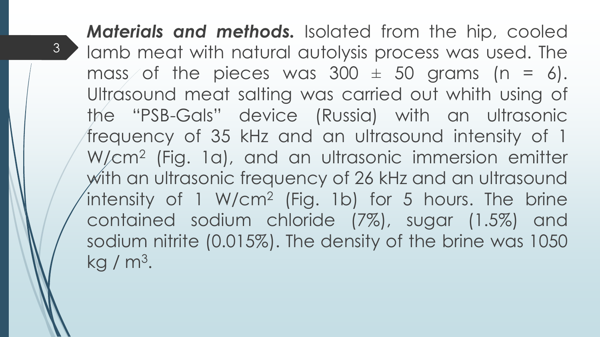*Materials and methods.* Isolated from the hip, cooled lamb meat with natural autolysis process was used. The mass of the pieces was  $300 \pm 50$  grams (n = 6). Ultrasound meat salting was carried out whith using of the "PSB-Gals" device (Russia) with an ultrasonic frequency of 35 kHz and an ultrasound intensity of 1 W/cm<sup>2</sup> (Fig. 1a), and an ultrasonic immersion emitter with an ultrasonic frequency of 26 kHz and an ultrasound intensity of 1 W/cm<sup>2</sup> (Fig. 1b) for 5 hours. The brine contained sodium chloride (7%), sugar (1.5%) and sodium nitrite (0.015%). The density of the brine was 1050 kg / m<sup>3</sup>.

3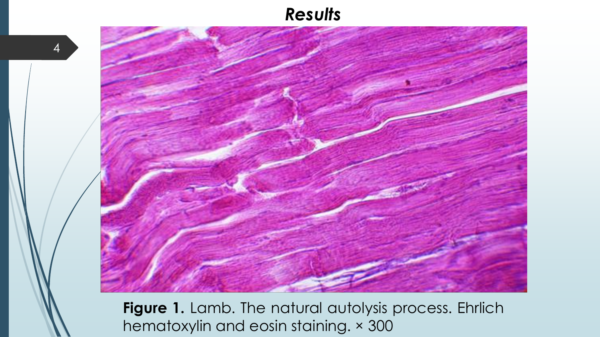## *Results*

4



**Figure 1.** Lamb. The natural autolysis process. Ehrlich hematoxylin and eosin staining. × 300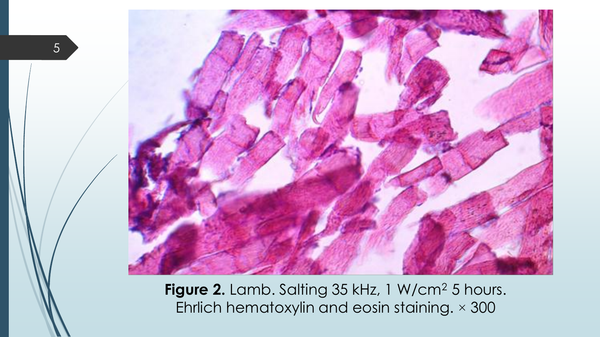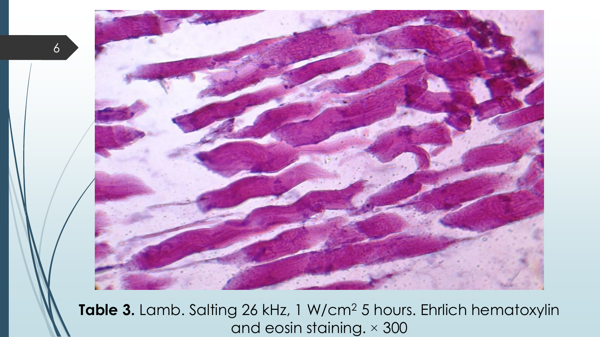

Table 3. Lamb. Salting 26 kHz, 1 W/cm<sup>2</sup> 5 hours. Ehrlich hematoxylin and eosin staining. × 300

6